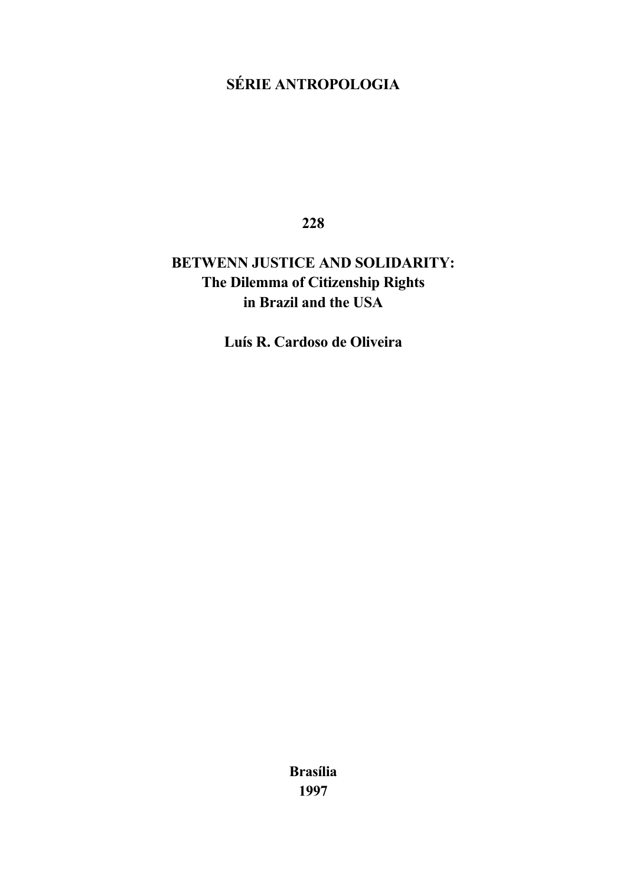# **SÉRIE ANTROPOLOGIA**

**228**

# **BETWENN JUSTICE AND SOLIDARITY: The Dilemma of Citizenship Rights in Brazil and the USA**

**Luís R. Cardoso de Oliveira**

**Brasília 1997**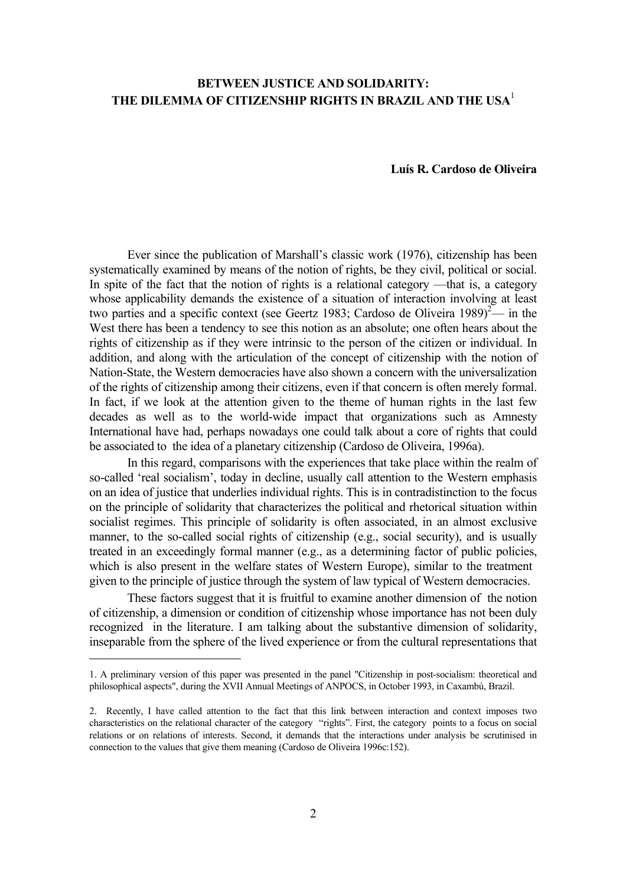# **BETWEEN JUSTICE AND SOLIDARITY: THE DILEMMA OF CITIZENSHIP RIGHTS IN BRAZIL AND THE USA**[1](#page-1-0)

#### **Luís R. Cardoso de Oliveira**

Ever since the publication of Marshall's classic work (1976), citizenship has been systematically examined by means of the notion of rights, be they civil, political or social. In spite of the fact that the notion of rights is a relational category —that is, a category whose applicability demands the existence of a situation of interaction involving at least two parties and a specific context (see Geertz 1983; Cardoso de Oliveira 1989)<sup>2</sup>— in the West there has been a tendency to see this notion as an absolute; one often hears about the rights of citizenship as if they were intrinsic to the person of the citizen or individual. In addition, and along with the articulation of the concept of citizenship with the notion of Nation-State, the Western democracies have also shown a concern with the universalization of the rights of citizenship among their citizens, even if that concern is often merely formal. In fact, if we look at the attention given to the theme of human rights in the last few decades as well as to the world-wide impact that organizations such as Amnesty International have had, perhaps nowadays one could talk about a core of rights that could be associated to the idea of a planetary citizenship (Cardoso de Oliveira, 1996a).

In this regard, comparisons with the experiences that take place within the realm of so-called 'real socialism', today in decline, usually call attention to the Western emphasis on an idea of justice that underlies individual rights. This is in contradistinction to the focus on the principle of solidarity that characterizes the political and rhetorical situation within socialist regimes. This principle of solidarity is often associated, in an almost exclusive manner, to the so-called social rights of citizenship (e.g., social security), and is usually treated in an exceedingly formal manner (e.g., as a determining factor of public policies, which is also present in the welfare states of Western Europe), similar to the treatment given to the principle of justice through the system of law typical of Western democracies.

These factors suggest that it is fruitful to examine another dimension of the notion of citizenship, a dimension or condition of citizenship whose importance has not been duly recognized in the literature. I am talking about the substantive dimension of solidarity, inseparable from the sphere of the lived experience or from the cultural representations that

<span id="page-1-0"></span><sup>1.</sup> A preliminary version of this paper was presented in the panel "Citizenship in post-socialism: theoretical and philosophical aspects", during the XVII Annual Meetings of ANPOCS, in October 1993, in Caxambú, Brazil.

<span id="page-1-1"></span><sup>2.</sup> Recently, I have called attention to the fact that this link between interaction and context imposes two characteristics on the relational character of the category "rights". First, the category points to a focus on social relations or on relations of interests. Second, it demands that the interactions under analysis be scrutinised in connection to the values that give them meaning (Cardoso de Oliveira 1996c:152).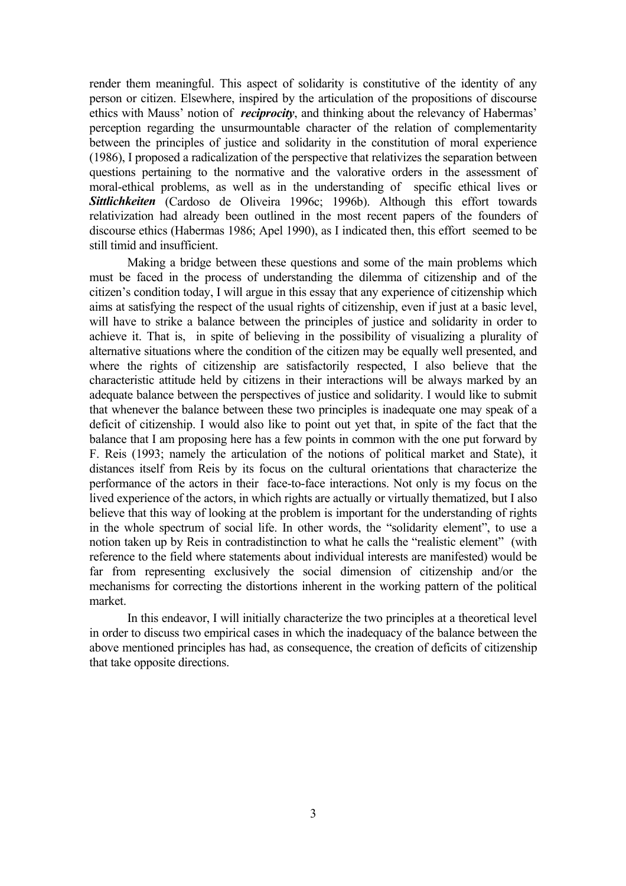render them meaningful. This aspect of solidarity is constitutive of the identity of any person or citizen. Elsewhere, inspired by the articulation of the propositions of discourse ethics with Mauss' notion of *reciprocity*, and thinking about the relevancy of Habermas' perception regarding the unsurmountable character of the relation of complementarity between the principles of justice and solidarity in the constitution of moral experience (1986), I proposed a radicalization of the perspective that relativizes the separation between questions pertaining to the normative and the valorative orders in the assessment of moral-ethical problems, as well as in the understanding of specific ethical lives or *Sittlichkeiten* (Cardoso de Oliveira 1996c; 1996b). Although this effort towards relativization had already been outlined in the most recent papers of the founders of discourse ethics (Habermas 1986; Apel 1990), as I indicated then, this effort seemed to be still timid and insufficient.

Making a bridge between these questions and some of the main problems which must be faced in the process of understanding the dilemma of citizenship and of the citizen's condition today, I will argue in this essay that any experience of citizenship which aims at satisfying the respect of the usual rights of citizenship, even if just at a basic level, will have to strike a balance between the principles of justice and solidarity in order to achieve it. That is, in spite of believing in the possibility of visualizing a plurality of alternative situations where the condition of the citizen may be equally well presented, and where the rights of citizenship are satisfactorily respected, I also believe that the characteristic attitude held by citizens in their interactions will be always marked by an adequate balance between the perspectives of justice and solidarity. I would like to submit that whenever the balance between these two principles is inadequate one may speak of a deficit of citizenship. I would also like to point out yet that, in spite of the fact that the balance that I am proposing here has a few points in common with the one put forward by F. Reis (1993; namely the articulation of the notions of political market and State), it distances itself from Reis by its focus on the cultural orientations that characterize the performance of the actors in their face-to-face interactions. Not only is my focus on the lived experience of the actors, in which rights are actually or virtually thematized, but I also believe that this way of looking at the problem is important for the understanding of rights in the whole spectrum of social life. In other words, the "solidarity element", to use a notion taken up by Reis in contradistinction to what he calls the "realistic element" (with reference to the field where statements about individual interests are manifested) would be far from representing exclusively the social dimension of citizenship and/or the mechanisms for correcting the distortions inherent in the working pattern of the political market.

In this endeavor, I will initially characterize the two principles at a theoretical level in order to discuss two empirical cases in which the inadequacy of the balance between the above mentioned principles has had, as consequence, the creation of deficits of citizenship that take opposite directions.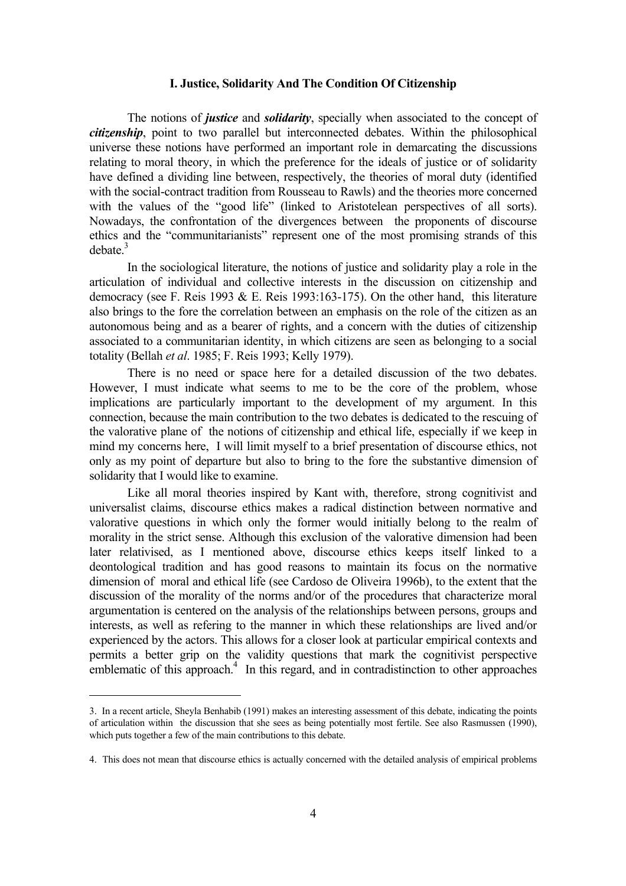#### **I. Justice, Solidarity And The Condition Of Citizenship**

<span id="page-3-1"></span>The notions of *justice* and *solidarity*, specially when associated to the concept of *citizenship*, point to two parallel but interconnected debates. Within the philosophical universe these notions have performed an important role in demarcating the discussions relating to moral theory, in which the preference for the ideals of justice or of solidarity have defined a dividing line between, respectively, the theories of moral duty (identified with the social-contract tradition from Rousseau to Rawls) and the theories more concerned with the values of the "good life" (linked to Aristotelean perspectives of all sorts). Nowadays, the confrontation of the divergences between the proponents of discourse ethics and the "communitarianists" represent one of the most promising strands of this  $debate<sup>3</sup>$ 

In the sociological literature, the notions of justice and solidarity play a role in the articulation of individual and collective interests in the discussion on citizenship and democracy (see F. Reis 1993  $&$  E. Reis 1993:163-175). On the other hand, this literature also brings to the fore the correlation between an emphasis on the role of the citizen as an autonomous being and as a bearer of rights, and a concern with the duties of citizenship associated to a communitarian identity, in which citizens are seen as belonging to a social totality (Bellah *et al*. 1985; F. Reis 1993; Kelly 1979).

There is no need or space here for a detailed discussion of the two debates. However, I must indicate what seems to me to be the core of the problem, whose implications are particularly important to the development of my argument. In this connection, because the main contribution to the two debates is dedicated to the rescuing of the valorative plane of the notions of citizenship and ethical life, especially if we keep in mind my concerns here, I will limit myself to a brief presentation of discourse ethics, not only as my point of departure but also to bring to the fore the substantive dimension of solidarity that I would like to examine.

Like all moral theories inspired by Kant with, therefore, strong cognitivist and universalist claims, discourse ethics makes a radical distinction between normative and valorative questions in which only the former would initially belong to the realm of morality in the strict sense. Although this exclusion of the valorative dimension had been later relativised, as I mentioned above, discourse ethics keeps itself linked to a deontological tradition and has good reasons to maintain its focus on the normative dimension of moral and ethical life (see Cardoso de Oliveira 1996b), to the extent that the discussion of the morality of the norms and/or of the procedures that characterize moral argumentation is centered on the analysis of the relationships between persons, groups and interests, as well as refering to the manner in which these relationships are lived and/or experienced by the actors. This allows for a closer look at particular empirical contexts and permits a better grip on the validity questions that mark the cognitivist perspective emblematic of this approach.<sup>4</sup> In this regard, and in contradistinction to other approaches

a<br>B

<span id="page-3-0"></span><sup>3.</sup> In a recent article, Sheyla Benhabib (1991) makes an interesting assessment of this debate, indicating the points of articulation within the discussion that she sees as being potentially most fertile. See also Rasmussen (1990), which puts together a few of the main contributions to this debate.

<sup>4.</sup> This does not mean that discourse ethics is actually concerned with the detailed analysis of empirical problems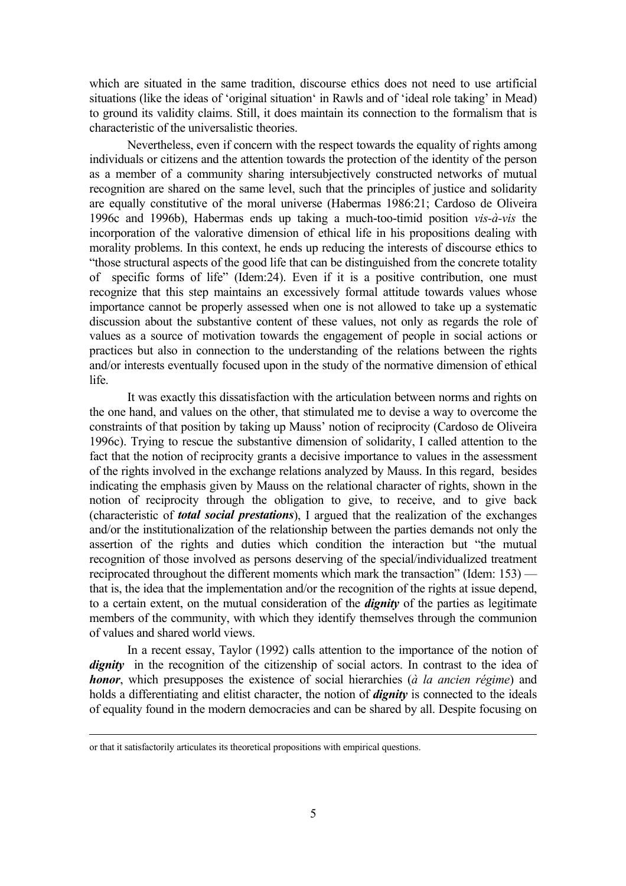which are situated in the same tradition, discourse ethics does not need to use artificial situations (like the ideas of 'original situation' in Rawls and of 'ideal role taking' in Mead) to ground its validity claims. Still, it does maintain its connection to the formalism that is characteristic of the universalistic theories.

Nevertheless, even if concern with the respect towards the equality of rights among individuals or citizens and the attention towards the protection of the identity of the person as a member of a community sharing intersubjectively constructed networks of mutual recognition are shared on the same level, such that the principles of justice and solidarity are equally constitutive of the moral universe (Habermas 1986:21; Cardoso de Oliveira 1996c and 1996b), Habermas ends up taking a much-too-timid position *vis-à-vis* the incorporation of the valorative dimension of ethical life in his propositions dealing with morality problems. In this context, he ends up reducing the interests of discourse ethics to "those structural aspects of the good life that can be distinguished from the concrete totality of specific forms of life" (Idem:24). Even if it is a positive contribution, one must recognize that this step maintains an excessively formal attitude towards values whose importance cannot be properly assessed when one is not allowed to take up a systematic discussion about the substantive content of these values, not only as regards the role of values as a source of motivation towards the engagement of people in social actions or practices but also in connection to the understanding of the relations between the rights and/or interests eventually focused upon in the study of the normative dimension of ethical life.

It was exactly this dissatisfaction with the articulation between norms and rights on the one hand, and values on the other, that stimulated me to devise a way to overcome the constraints of that position by taking up Mauss' notion of reciprocity (Cardoso de Oliveira 1996c). Trying to rescue the substantive dimension of solidarity, I called attention to the fact that the notion of reciprocity grants a decisive importance to values in the assessment of the rights involved in the exchange relations analyzed by Mauss. In this regard, besides indicating the emphasis given by Mauss on the relational character of rights, shown in the notion of reciprocity through the obligation to give, to receive, and to give back (characteristic of *total social prestations*), I argued that the realization of the exchanges and/or the institutionalization of the relationship between the parties demands not only the assertion of the rights and duties which condition the interaction but "the mutual recognition of those involved as persons deserving of the special/individualized treatment reciprocated throughout the different moments which mark the transaction" (Idem: 153) that is, the idea that the implementation and/or the recognition of the rights at issue depend, to a certain extent, on the mutual consideration of the *dignity* of the parties as legitimate members of the community, with which they identify themselves through the communion of values and shared world views.

In a recent essay, Taylor (1992) calls attention to the importance of the notion of dignity in the recognition of the citizenship of social actors. In contrast to the idea of *honor*, which presupposes the existence of social hierarchies (*à la ancien régime*) and holds a differentiating and elitist character, the notion of *dignity* is connected to the ideals of equality found in the modern democracies and can be shared by all. Despite focusing on

i<br>Li

or that it satisfactorily articulates its theoretical propositions with empirical questions.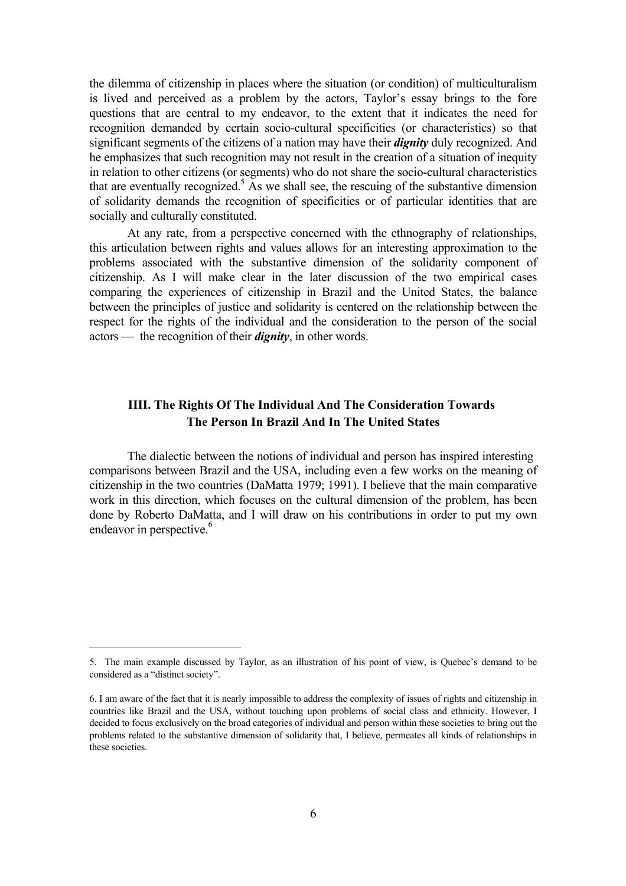the dilemma of citizenship in places where the situation (or condition) of multiculturalism is lived and perceived as a problem by the actors, Taylor's essay brings to the fore questions that are central to my endeavor, to the extent that it indicates the need for recognition demanded by certain socio-cultural specificities (or characteristics) so that significant segments of the citizens of a nation may have their *dignity* duly recognized. And he emphasizes that such recognition may not result in the creation of a situation of inequity in relation to other citizens (or segments) who do not share the socio-cultural characteristics that are eventually recognized.<sup>5</sup> As we shall see, the rescuing of the substantive dimension of solidarity demands the recognition of specificities or of particular identities that are socially and culturally constituted.

At any rate, from a perspective concerned with the ethnography of relationships, this articulation between rights and values allows for an interesting approximation to the problems associated with the substantive dimension of the solidarity component of citizenship. As I will make clear in the later discussion of the two empirical cases comparing the experiences of citizenship in Brazil and the United States, the balance between the principles of justice and solidarity is centered on the relationship between the respect for the rights of the individual and the consideration to the person of the social actors — the recognition of their *dignity*, in other words.

# **IIII. The Rights Of The Individual And The Consideration Towards The Person In Brazil And In The United States**

The dialectic between the notions of individual and person has inspired interesting comparisons between Brazil and the USA, including even a few works on the meaning of citizenship in the two countries (DaMatta 1979; 1991). I believe that the main comparative work in this direction, which focuses on the cultural dimension of the problem, has been done by Roberto DaMatta, and I will draw on his contributions in order to put my own endeavor in perspective.<sup>6</sup>

<span id="page-5-0"></span><sup>5.</sup> The main example discussed by Taylor, as an illustration of his point of view, is Quebec's demand to be considered as a "distinct society".

<span id="page-5-1"></span><sup>6.</sup> I am aware of the fact that it is nearly impossible to address the complexity of issues of rights and citizenship in countries like Brazil and the USA, without touching upon problems of social class and ethnicity. However, I decided to focus exclusively on the broad categories of individual and person within these societies to bring out the problems related to the substantive dimension of solidarity that, I believe, permeates all kinds of relationships in these societies.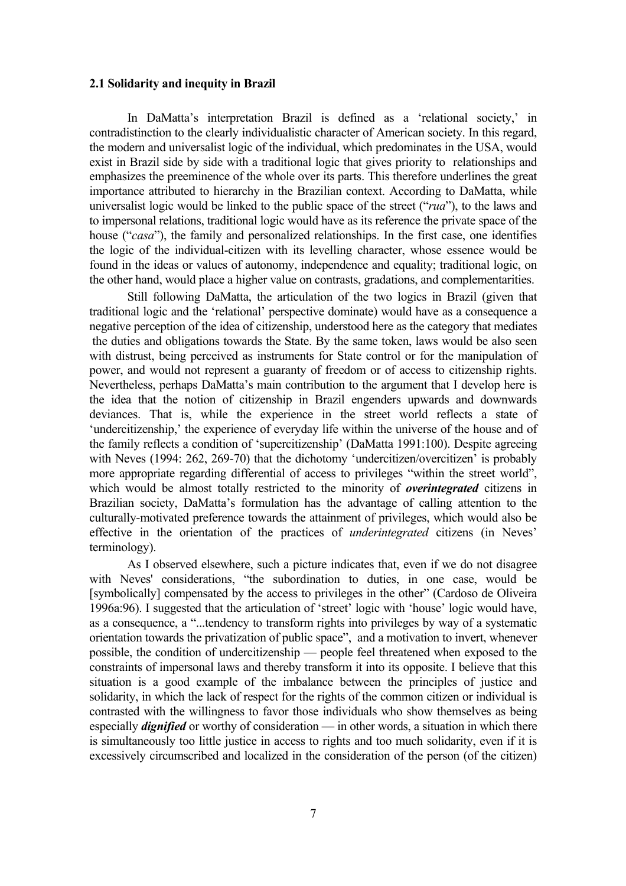#### **2.1 Solidarity and inequity in Brazil**

In DaMatta's interpretation Brazil is defined as a 'relational society,' in contradistinction to the clearly individualistic character of American society. In this regard, the modern and universalist logic of the individual, which predominates in the USA, would exist in Brazil side by side with a traditional logic that gives priority to relationships and emphasizes the preeminence of the whole over its parts. This therefore underlines the great importance attributed to hierarchy in the Brazilian context. According to DaMatta, while universalist logic would be linked to the public space of the street ("*rua*"), to the laws and to impersonal relations, traditional logic would have as its reference the private space of the house ("*casa*"), the family and personalized relationships. In the first case, one identifies the logic of the individual-citizen with its levelling character, whose essence would be found in the ideas or values of autonomy, independence and equality; traditional logic, on the other hand, would place a higher value on contrasts, gradations, and complementarities.

Still following DaMatta, the articulation of the two logics in Brazil (given that traditional logic and the 'relational' perspective dominate) would have as a consequence a negative perception of the idea of citizenship, understood here as the category that mediates the duties and obligations towards the State. By the same token, laws would be also seen with distrust, being perceived as instruments for State control or for the manipulation of power, and would not represent a guaranty of freedom or of access to citizenship rights. Nevertheless, perhaps DaMatta's main contribution to the argument that I develop here is the idea that the notion of citizenship in Brazil engenders upwards and downwards deviances. That is, while the experience in the street world reflects a state of 'undercitizenship,' the experience of everyday life within the universe of the house and of the family reflects a condition of 'supercitizenship' (DaMatta 1991:100). Despite agreeing with Neves (1994: 262, 269-70) that the dichotomy 'undercitizen/overcitizen' is probably more appropriate regarding differential of access to privileges "within the street world", which would be almost totally restricted to the minority of *overintegrated* citizens in Brazilian society, DaMatta's formulation has the advantage of calling attention to the culturally-motivated preference towards the attainment of privileges, which would also be effective in the orientation of the practices of *underintegrated* citizens (in Neves' terminology).

As I observed elsewhere, such a picture indicates that, even if we do not disagree with Neves' considerations, "the subordination to duties, in one case, would be [symbolically] compensated by the access to privileges in the other" (Cardoso de Oliveira 1996a:96). I suggested that the articulation of 'street' logic with 'house' logic would have, as a consequence, a "...tendency to transform rights into privileges by way of a systematic orientation towards the privatization of public space", and a motivation to invert, whenever possible, the condition of undercitizenship — people feel threatened when exposed to the constraints of impersonal laws and thereby transform it into its opposite. I believe that this situation is a good example of the imbalance between the principles of justice and solidarity, in which the lack of respect for the rights of the common citizen or individual is contrasted with the willingness to favor those individuals who show themselves as being especially *dignified* or worthy of consideration — in other words, a situation in which there is simultaneously too little justice in access to rights and too much solidarity, even if it is excessively circumscribed and localized in the consideration of the person (of the citizen)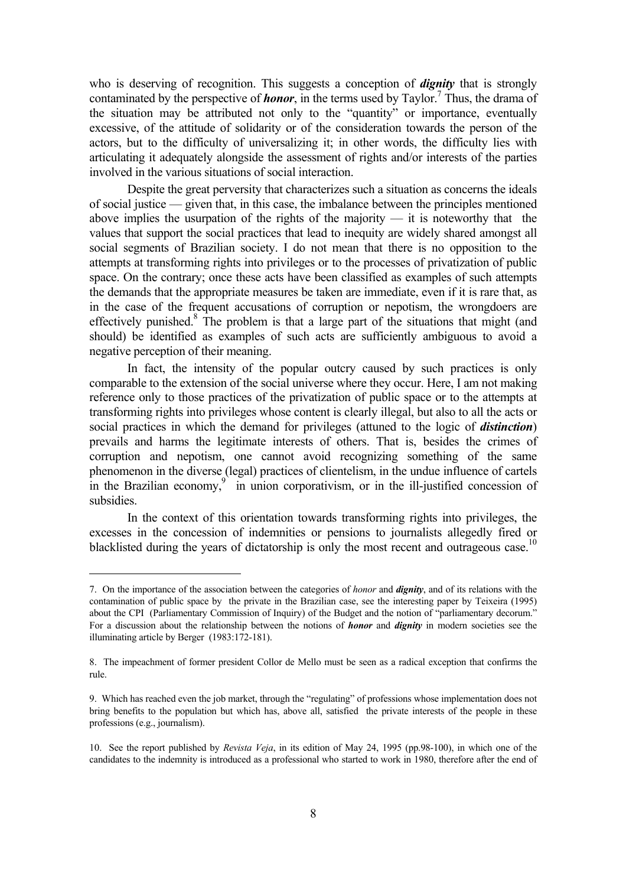<span id="page-7-3"></span>who is deserving of recognition. This suggests a conception of *dignity* that is strongly contaminated by the perspective of **honor**, in the terms used by Taylor.<sup>7</sup> Thus, the drama of the situation may be attributed not only to the "quantity" or importance, eventually excessive, of the attitude of solidarity or of the consideration towards the person of the actors, but to the difficulty of universalizing it; in other words, the difficulty lies with articulating it adequately alongside the assessment of rights and/or interests of the parties involved in the various situations of social interaction.

Despite the great perversity that characterizes such a situation as concerns the ideals of social justice — given that, in this case, the imbalance between the principles mentioned above implies the usurpation of the rights of the majority — it is noteworthy that the values that support the social practices that lead to inequity are widely shared amongst all social segments of Brazilian society. I do not mean that there is no opposition to the attempts at transforming rights into privileges or to the processes of privatization of public space. On the contrary; once these acts have been classified as examples of such attempts the demands that the appropriate measures be taken are immediate, even if it is rare that, as in the case of the frequent accusations of corruption or nepotism, the wrongdoers are effectively punished. $8$  The problem is that a large part of the situations that might (and should) be identified as examples of such acts are sufficiently ambiguous to avoid a negative perception of their meaning.

In fact, the intensity of the popular outcry caused by such practices is only comparable to the extension of the social universe where they occur. Here, I am not making reference only to those practices of the privatization of public space or to the attempts at transforming rights into privileges whose content is clearly illegal, but also to all the acts or social practices in which the demand for privileges (attuned to the logic of *distinction*) prevails and harms the legitimate interests of others. That is, besides the crimes of corruption and nepotism, one cannot avoid recognizing something of the same phenomenon in the diverse (legal) practices of clientelism, in the undue influence of cartels in the Brazilian economy, $9 \overline{)}$  in union corporativism, or in the ill-justified concession of subsidies.

In the context of this orientation towards transforming rights into privileges, the excesses in the concession of indemnities or pensions to journalists allegedly fired or blacklisted during the years of dictatorship is only the most recent and outrageous case.<sup>10</sup>

<span id="page-7-0"></span><sup>7.</sup> On the importance of the association between the categories of *honor* and *dignity*, and of its relations with the contamination of public space by the private in the Brazilian case, see the interesting paper by Teixeira (1995) about the CPI (Parliamentary Commission of Inquiry) of the Budget and the notion of "parliamentary decorum." For a discussion about the relationship between the notions of *honor* and *dignity* in modern societies see the illuminating article by Berger (1983:172-181).

<span id="page-7-1"></span><sup>8.</sup> The impeachment of former president Collor de Mello must be seen as a radical exception that confirms the rule.

<span id="page-7-2"></span><sup>9.</sup> Which has reached even the job market, through the "regulating" of professions whose implementation does not bring benefits to the population but which has, above all, satisfied the private interests of the people in these professions (e.g., journalism).

<sup>10.</sup> See the report published by *Revista Veja*, in its edition of May 24, 1995 (pp.98-100), in which one of the candidates to the indemnity is introduced as a professional who started to work in 1980, therefore after the end of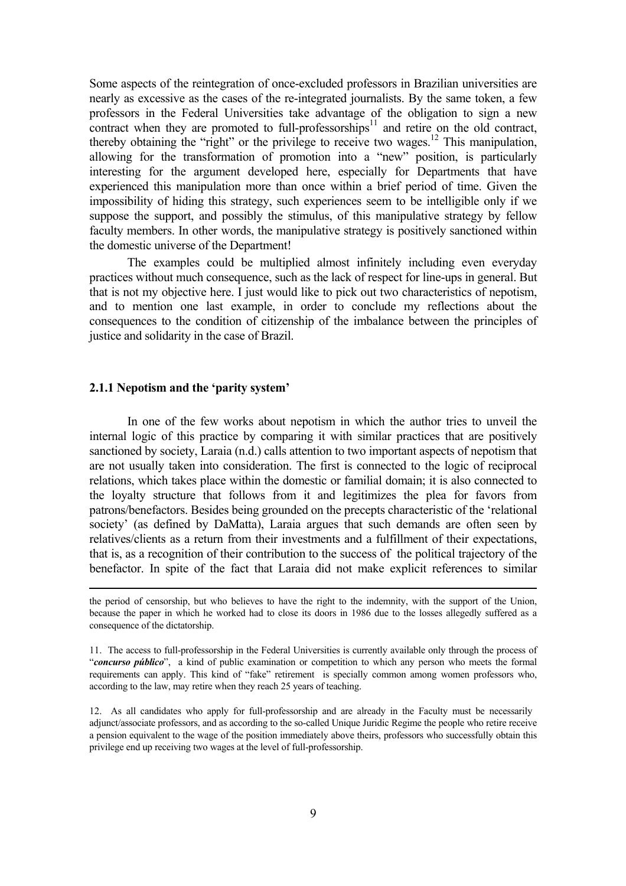Some aspects of the reintegration of once-excluded professors in Brazilian universities are nearly as excessive as the cases of the re-integrated journalists. By the same token, a few professors in the Federal Universities take advantage of the obligation to sign a new contract when they are promoted to full-professorships<sup>11</sup> and retire on the old contract, thereby obtaining the "right" or the privilege to receive two wages.<sup>12</sup> This manipulation, allowing for the transformation of promotion into a "new" position, is particularly interesting for the argument developed here, especially for Departments that have experienced this manipulation more than once within a brief period of time. Given the impossibility of hiding this strategy, such experiences seem to be intelligible only if we suppose the support, and possibly the stimulus, of this manipulative strategy by fellow faculty members. In other words, the manipulative strategy is positively sanctioned within the domestic universe of the Department!

The examples could be multiplied almost infinitely including even everyday practices without much consequence, such as the lack of respect for line-ups in general. But that is not my objective here. I just would like to pick out two characteristics of nepotism, and to mention one last example, in order to conclude my reflections about the consequences to the condition of citizenship of the imbalance between the principles of justice and solidarity in the case of Brazil.

#### **2.1.1 Nepotism and the 'parity system'**

i<br>Li

In one of the few works about nepotism in which the author tries to unveil the internal logic of this practice by comparing it with similar practices that are positively sanctioned by society, Laraia (n.d.) calls attention to two important aspects of nepotism that are not usually taken into consideration. The first is connected to the logic of reciprocal relations, which takes place within the domestic or familial domain; it is also connected to the loyalty structure that follows from it and legitimizes the plea for favors from patrons/benefactors. Besides being grounded on the precepts characteristic of the 'relational society' (as defined by DaMatta), Laraia argues that such demands are often seen by relatives/clients as a return from their investments and a fulfillment of their expectations, that is, as a recognition of their contribution to the success of the political trajectory of the benefactor. In spite of the fact that Laraia did not make explicit references to similar

<span id="page-8-1"></span>12. As all candidates who apply for full-professorship and are already in the Faculty must be necessarily adjunct/associate professors, and as according to the so-called Unique Juridic Regime the people who retire receive a pension equivalent to the wage of the position immediately above theirs, professors who successfully obtain this privilege end up receiving two wages at the level of full-professorship.

the period of censorship, but who believes to have the right to the indemnity, with the support of the Union, because the paper in which he worked had to close its doors in 1986 due to the losses allegedly suffered as a consequence of the dictatorship.

<span id="page-8-0"></span><sup>11.</sup> The access to full-professorship in the Federal Universities is currently available only through the process of "*concurso público*", a kind of public examination or competition to which any person who meets the formal requirements can apply. This kind of "fake" retirement is specially common among women professors who, according to the law, may retire when they reach 25 years of teaching.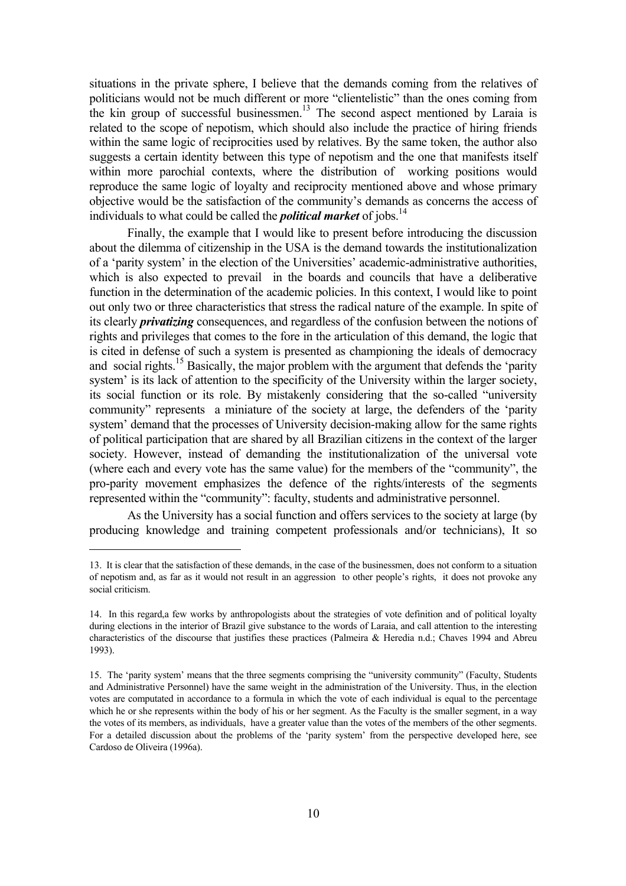situations in the private sphere, I believe that the demands coming from the relatives of politicians would not be much different or more "clientelistic" than the ones coming from the kin group of successful businessmen.<sup>13</sup> The second aspect mentioned by Laraia is related to the scope of nepotism, which should also include the practice of hiring friends within the same logic of reciprocities used by relatives. By the same token, the author also suggests a certain identity between this type of nepotism and the one that manifests itself within more parochial contexts, where the distribution of working positions would reproduce the same logic of loyalty and reciprocity mentioned above and whose primary objective would be the satisfaction of the community's demands as concerns the access of individuals to what could be called the *political market* of jobs.<sup>14</sup>

Finally, the example that I would like to present before introducing the discussion about the dilemma of citizenship in the USA is the demand towards the institutionalization of a 'parity system' in the election of the Universities' academic-administrative authorities, which is also expected to prevail in the boards and councils that have a deliberative function in the determination of the academic policies. In this context, I would like to point out only two or three characteristics that stress the radical nature of the example. In spite of its clearly *privatizing* consequences, and regardless of the confusion between the notions of rights and privileges that comes to the fore in the articulation of this demand, the logic that is cited in defense of such a system is presented as championing the ideals of democracy and social rights.<sup>15</sup> Basically, the major problem with the argument that defends the 'parity' system' is its lack of attention to the specificity of the University within the larger society, its social function or its role. By mistakenly considering that the so-called "university community" represents a miniature of the society at large, the defenders of the 'parity system' demand that the processes of University decision-making allow for the same rights of political participation that are shared by all Brazilian citizens in the context of the larger society. However, instead of demanding the institutionalization of the universal vote (where each and every vote has the same value) for the members of the "community", the pro-parity movement emphasizes the defence of the rights/interests of the segments represented within the "community": faculty, students and administrative personnel.

As the University has a social function and offers services to the society at large (by producing knowledge and training competent professionals and/or technicians), It so

<span id="page-9-0"></span><sup>13.</sup> It is clear that the satisfaction of these demands, in the case of the businessmen, does not conform to a situation of nepotism and, as far as it would not result in an aggression to other people's rights, it does not provoke any social criticism.

<span id="page-9-1"></span><sup>14.</sup> In this regard,a few works by anthropologists about the strategies of vote definition and of political loyalty during elections in the interior of Brazil give substance to the words of Laraia, and call attention to the interesting characteristics of the discourse that justifies these practices (Palmeira & Heredia n.d.; Chaves 1994 and Abreu 1993).

<span id="page-9-2"></span><sup>15.</sup> The 'parity system' means that the three segments comprising the "university community" (Faculty, Students and Administrative Personnel) have the same weight in the administration of the University. Thus, in the election votes are computated in accordance to a formula in which the vote of each individual is equal to the percentage which he or she represents within the body of his or her segment. As the Faculty is the smaller segment, in a way the votes of its members, as individuals, have a greater value than the votes of the members of the other segments. For a detailed discussion about the problems of the 'parity system' from the perspective developed here, see Cardoso de Oliveira (1996a).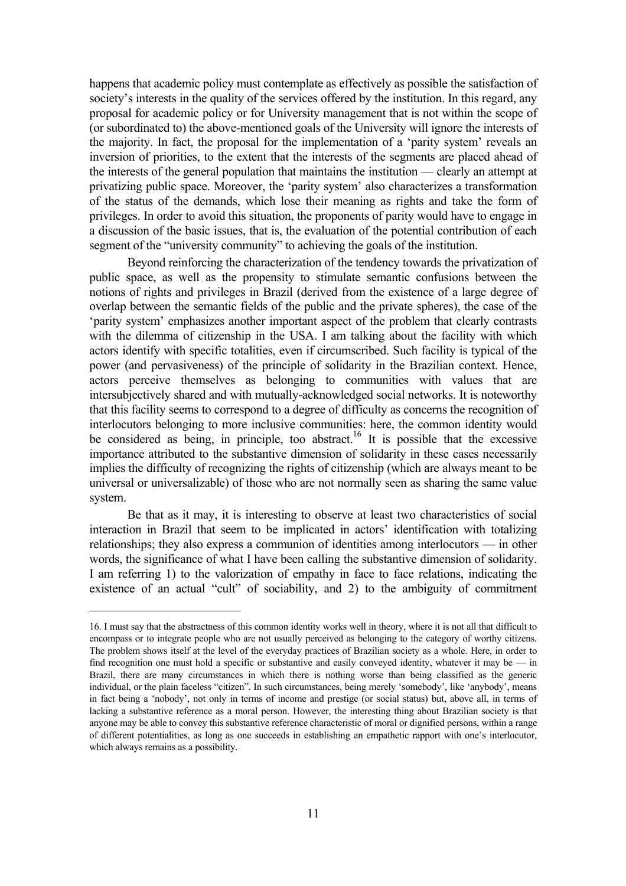happens that academic policy must contemplate as effectively as possible the satisfaction of society's interests in the quality of the services offered by the institution. In this regard, any proposal for academic policy or for University management that is not within the scope of (or subordinated to) the above-mentioned goals of the University will ignore the interests of the majority. In fact, the proposal for the implementation of a 'parity system' reveals an inversion of priorities, to the extent that the interests of the segments are placed ahead of the interests of the general population that maintains the institution — clearly an attempt at privatizing public space. Moreover, the 'parity system' also characterizes a transformation of the status of the demands, which lose their meaning as rights and take the form of privileges. In order to avoid this situation, the proponents of parity would have to engage in a discussion of the basic issues, that is, the evaluation of the potential contribution of each segment of the "university community" to achieving the goals of the institution.

Beyond reinforcing the characterization of the tendency towards the privatization of public space, as well as the propensity to stimulate semantic confusions between the notions of rights and privileges in Brazil (derived from the existence of a large degree of overlap between the semantic fields of the public and the private spheres), the case of the 'parity system' emphasizes another important aspect of the problem that clearly contrasts with the dilemma of citizenship in the USA. I am talking about the facility with which actors identify with specific totalities, even if circumscribed. Such facility is typical of the power (and pervasiveness) of the principle of solidarity in the Brazilian context. Hence, actors perceive themselves as belonging to communities with values that are intersubjectively shared and with mutually-acknowledged social networks. It is noteworthy that this facility seems to correspond to a degree of difficulty as concerns the recognition of interlocutors belonging to more inclusive communities: here, the common identity would be considered as being, in principle, too abstract.<sup>16</sup> It is possible that the excessive importance attributed to the substantive dimension of solidarity in these cases necessarily implies the difficulty of recognizing the rights of citizenship (which are always meant to be universal or universalizable) of those who are not normally seen as sharing the same value system.

Be that as it may, it is interesting to observe at least two characteristics of social interaction in Brazil that seem to be implicated in actors' identification with totalizing relationships; they also express a communion of identities among interlocutors — in other words, the significance of what I have been calling the substantive dimension of solidarity. I am referring 1) to the valorization of empathy in face to face relations, indicating the existence of an actual "cult" of sociability, and 2) to the ambiguity of commitment

a<br>B

<span id="page-10-0"></span><sup>16.</sup> I must say that the abstractness of this common identity works well in theory, where it is not all that difficult to encompass or to integrate people who are not usually perceived as belonging to the category of worthy citizens. The problem shows itself at the level of the everyday practices of Brazilian society as a whole. Here, in order to find recognition one must hold a specific or substantive and easily conveyed identity, whatever it may be — in Brazil, there are many circumstances in which there is nothing worse than being classified as the generic individual, or the plain faceless "citizen". In such circumstances, being merely 'somebody', like 'anybody', means in fact being a 'nobody', not only in terms of income and prestige (or social status) but, above all, in terms of lacking a substantive reference as a moral person. However, the interesting thing about Brazilian society is that anyone may be able to convey this substantive reference characteristic of moral or dignified persons, within a range of different potentialities, as long as one succeeds in establishing an empathetic rapport with one's interlocutor, which always remains as a possibility.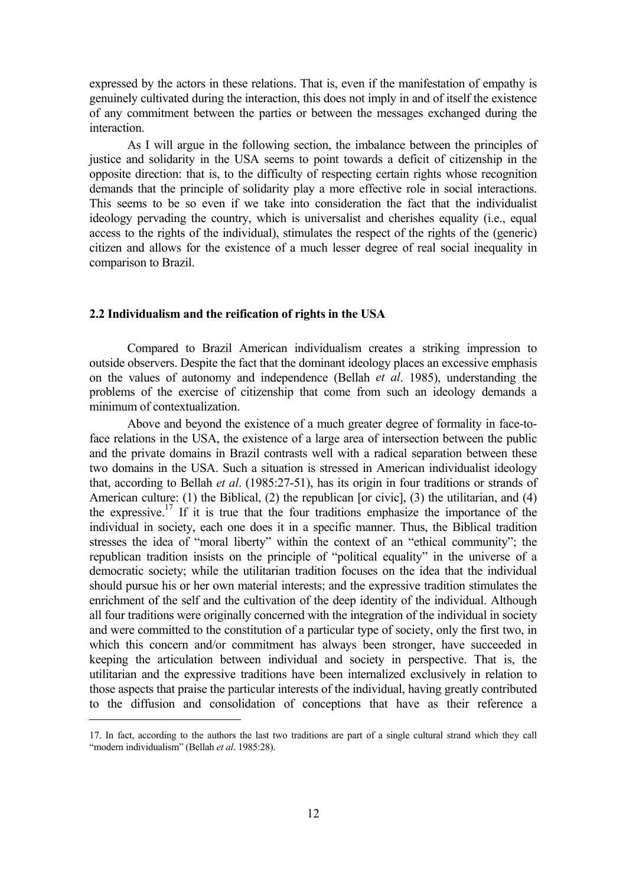expressed by the actors in these relations. That is, even if the manifestation of empathy is genuinely cultivated during the interaction, this does not imply in and of itself the existence of any commitment between the parties or between the messages exchanged during the interaction.

As I will argue in the following section, the imbalance between the principles of justice and solidarity in the USA seems to point towards a deficit of citizenship in the opposite direction: that is, to the difficulty of respecting certain rights whose recognition demands that the principle of solidarity play a more effective role in social interactions. This seems to be so even if we take into consideration the fact that the individualist ideology pervading the country, which is universalist and cherishes equality (i.e., equal access to the rights of the individual), stimulates the respect of the rights of the (generic) citizen and allows for the existence of a much lesser degree of real social inequality in comparison to Brazil.

#### **2.2 Individualism and the reification of rights in the USA**

Compared to Brazil American individualism creates a striking impression to outside observers. Despite the fact that the dominant ideology places an excessive emphasis on the values of autonomy and independence (Bellah *et al*. 1985), understanding the problems of the exercise of citizenship that come from such an ideology demands a minimum of contextualization.

Above and beyond the existence of a much greater degree of formality in face-toface relations in the USA, the existence of a large area of intersection between the public and the private domains in Brazil contrasts well with a radical separation between these two domains in the USA. Such a situation is stressed in American individualist ideology that, according to Bellah *et al*. (1985:27-51), has its origin in four traditions or strands of American culture: (1) the Biblical, (2) the republican [or civic], (3) the utilitarian, and (4) the expressive.<sup>17</sup> If it is true that the four traditions emphasize the importance of the individual in society, each one does it in a specific manner. Thus, the Biblical tradition stresses the idea of "moral liberty" within the context of an "ethical community"; the republican tradition insists on the principle of "political equality" in the universe of a democratic society; while the utilitarian tradition focuses on the idea that the individual should pursue his or her own material interests; and the expressive tradition stimulates the enrichment of the self and the cultivation of the deep identity of the individual. Although all four traditions were originally concerned with the integration of the individual in society and were committed to the constitution of a particular type of society, only the first two, in which this concern and/or commitment has always been stronger, have succeeded in keeping the articulation between individual and society in perspective. That is, the utilitarian and the expressive traditions have been internalized exclusively in relation to those aspects that praise the particular interests of the individual, having greatly contributed to the diffusion and consolidation of conceptions that have as their reference a

<span id="page-11-0"></span><sup>17.</sup> In fact, according to the authors the last two traditions are part of a single cultural strand which they call "modern individualism" (Bellah *et al*. 1985:28).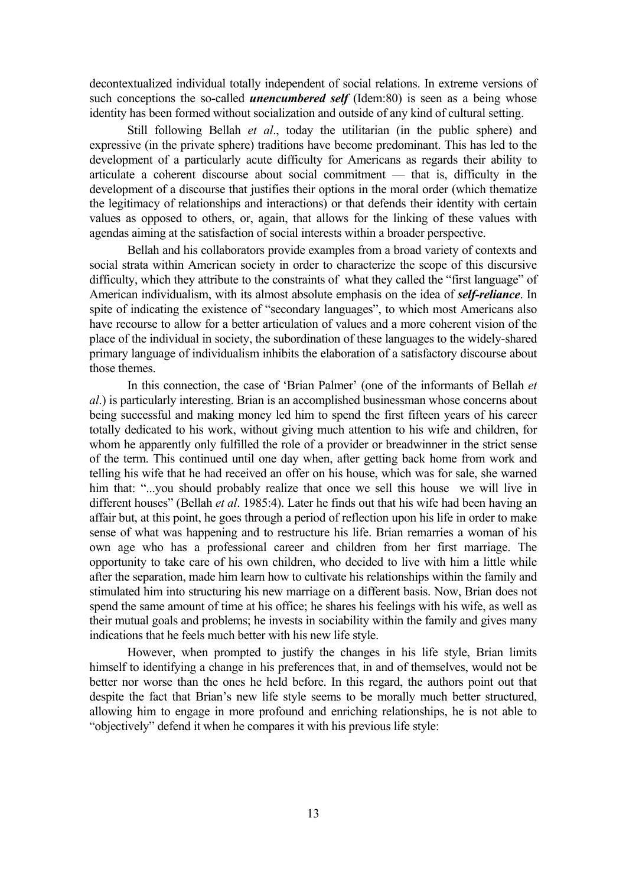decontextualized individual totally independent of social relations. In extreme versions of such conceptions the so-called *unencumbered self* (Idem:80) is seen as a being whose identity has been formed without socialization and outside of any kind of cultural setting.

Still following Bellah *et al*., today the utilitarian (in the public sphere) and expressive (in the private sphere) traditions have become predominant. This has led to the development of a particularly acute difficulty for Americans as regards their ability to articulate a coherent discourse about social commitment — that is, difficulty in the development of a discourse that justifies their options in the moral order (which thematize the legitimacy of relationships and interactions) or that defends their identity with certain values as opposed to others, or, again, that allows for the linking of these values with agendas aiming at the satisfaction of social interests within a broader perspective.

Bellah and his collaborators provide examples from a broad variety of contexts and social strata within American society in order to characterize the scope of this discursive difficulty, which they attribute to the constraints of what they called the "first language" of American individualism, with its almost absolute emphasis on the idea of *self-reliance*. In spite of indicating the existence of "secondary languages", to which most Americans also have recourse to allow for a better articulation of values and a more coherent vision of the place of the individual in society, the subordination of these languages to the widely-shared primary language of individualism inhibits the elaboration of a satisfactory discourse about those themes.

In this connection, the case of 'Brian Palmer' (one of the informants of Bellah *et al*.) is particularly interesting. Brian is an accomplished businessman whose concerns about being successful and making money led him to spend the first fifteen years of his career totally dedicated to his work, without giving much attention to his wife and children, for whom he apparently only fulfilled the role of a provider or breadwinner in the strict sense of the term. This continued until one day when, after getting back home from work and telling his wife that he had received an offer on his house, which was for sale, she warned him that: "...you should probably realize that once we sell this house we will live in different houses" (Bellah *et al*. 1985:4). Later he finds out that his wife had been having an affair but, at this point, he goes through a period of reflection upon his life in order to make sense of what was happening and to restructure his life. Brian remarries a woman of his own age who has a professional career and children from her first marriage. The opportunity to take care of his own children, who decided to live with him a little while after the separation, made him learn how to cultivate his relationships within the family and stimulated him into structuring his new marriage on a different basis. Now, Brian does not spend the same amount of time at his office; he shares his feelings with his wife, as well as their mutual goals and problems; he invests in sociability within the family and gives many indications that he feels much better with his new life style.

However, when prompted to justify the changes in his life style, Brian limits himself to identifying a change in his preferences that, in and of themselves, would not be better nor worse than the ones he held before. In this regard, the authors point out that despite the fact that Brian's new life style seems to be morally much better structured, allowing him to engage in more profound and enriching relationships, he is not able to "objectively" defend it when he compares it with his previous life style: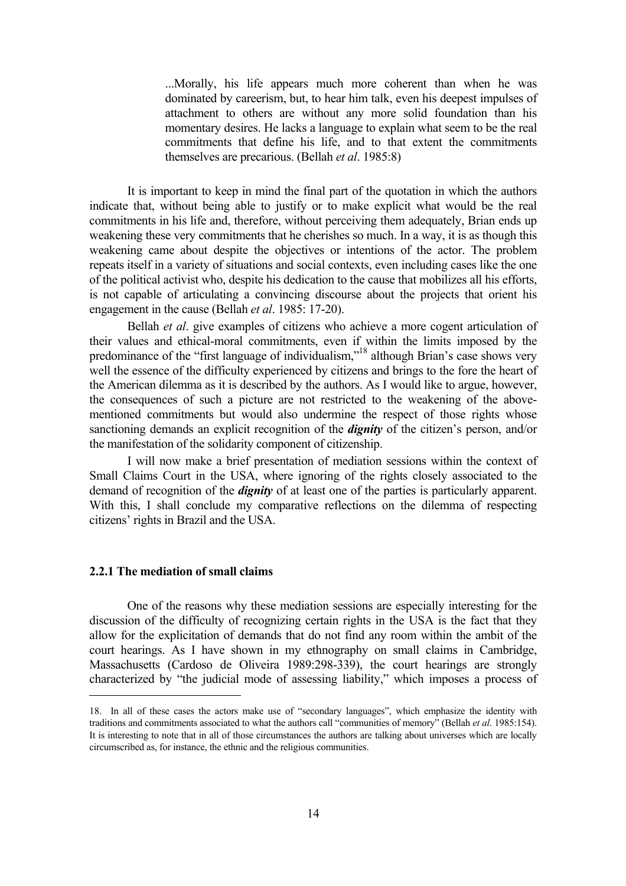...Morally, his life appears much more coherent than when he was dominated by careerism, but, to hear him talk, even his deepest impulses of attachment to others are without any more solid foundation than his momentary desires. He lacks a language to explain what seem to be the real commitments that define his life, and to that extent the commitments themselves are precarious. (Bellah *et al*. 1985:8)

It is important to keep in mind the final part of the quotation in which the authors indicate that, without being able to justify or to make explicit what would be the real commitments in his life and, therefore, without perceiving them adequately, Brian ends up weakening these very commitments that he cherishes so much. In a way, it is as though this weakening came about despite the objectives or intentions of the actor. The problem repeats itself in a variety of situations and social contexts, even including cases like the one of the political activist who, despite his dedication to the cause that mobilizes all his efforts, is not capable of articulating a convincing discourse about the projects that orient his engagement in the cause (Bellah *et al*. 1985: 17-20).

Bellah *et al*. give examples of citizens who achieve a more cogent articulation of their values and ethical-moral commitments, even if within the limits imposed by the predominance of the "first language of individualism,"<sup>18</sup> although Brian's case shows very well the essence of the difficulty experienced by citizens and brings to the fore the heart of the American dilemma as it is described by the authors. As I would like to argue, however, the consequences of such a picture are not restricted to the weakening of the abovementioned commitments but would also undermine the respect of those rights whose sanctioning demands an explicit recognition of the *dignity* of the citizen's person, and/or the manifestation of the solidarity component of citizenship.

I will now make a brief presentation of mediation sessions within the context of Small Claims Court in the USA, where ignoring of the rights closely associated to the demand of recognition of the *dignity* of at least one of the parties is particularly apparent. With this, I shall conclude my comparative reflections on the dilemma of respecting citizens' rights in Brazil and the USA.

## **2.2.1 The mediation of small claims**

a<br>B

One of the reasons why these mediation sessions are especially interesting for the discussion of the difficulty of recognizing certain rights in the USA is the fact that they allow for the explicitation of demands that do not find any room within the ambit of the court hearings. As I have shown in my ethnography on small claims in Cambridge, Massachusetts (Cardoso de Oliveira 1989:298-339), the court hearings are strongly characterized by "the judicial mode of assessing liability," which imposes a process of

<span id="page-13-0"></span><sup>18.</sup> In all of these cases the actors make use of "secondary languages", which emphasize the identity with traditions and commitments associated to what the authors call "communities of memory" (Bellah *et al*. 1985:154). It is interesting to note that in all of those circumstances the authors are talking about universes which are locally circumscribed as, for instance, the ethnic and the religious communities.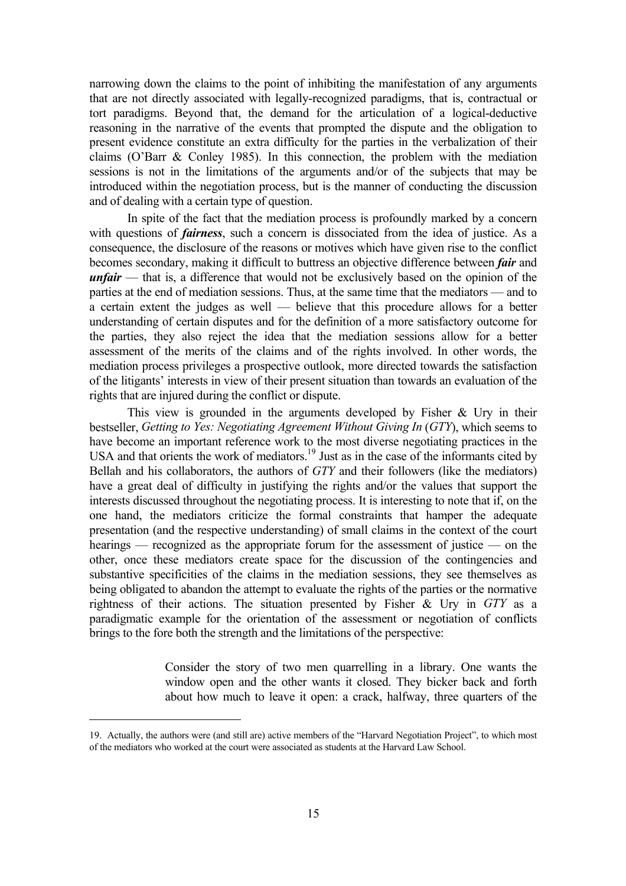narrowing down the claims to the point of inhibiting the manifestation of any arguments that are not directly associated with legally-recognized paradigms, that is, contractual or tort paradigms. Beyond that, the demand for the articulation of a logical-deductive reasoning in the narrative of the events that prompted the dispute and the obligation to present evidence constitute an extra difficulty for the parties in the verbalization of their claims (O'Barr & Conley 1985). In this connection, the problem with the mediation sessions is not in the limitations of the arguments and/or of the subjects that may be introduced within the negotiation process, but is the manner of conducting the discussion and of dealing with a certain type of question.

In spite of the fact that the mediation process is profoundly marked by a concern with questions of *fairness*, such a concern is dissociated from the idea of justice. As a consequence, the disclosure of the reasons or motives which have given rise to the conflict becomes secondary, making it difficult to buttress an objective difference between *fair* and *unfair* — that is, a difference that would not be exclusively based on the opinion of the parties at the end of mediation sessions. Thus, at the same time that the mediators — and to a certain extent the judges as well — believe that this procedure allows for a better understanding of certain disputes and for the definition of a more satisfactory outcome for the parties, they also reject the idea that the mediation sessions allow for a better assessment of the merits of the claims and of the rights involved. In other words, the mediation process privileges a prospective outlook, more directed towards the satisfaction of the litigants' interests in view of their present situation than towards an evaluation of the rights that are injured during the conflict or dispute.

This view is grounded in the arguments developed by Fisher & Ury in their bestseller, *Getting to Yes: Negotiating Agreement Without Giving In* (*GTY*), which seems to have become an important reference work to the most diverse negotiating practices in the USA and that orients the work of mediators.<sup>19</sup> Just as in the case of the informants cited by Bellah and his collaborators, the authors of *GTY* and their followers (like the mediators) have a great deal of difficulty in justifying the rights and/or the values that support the interests discussed throughout the negotiating process. It is interesting to note that if, on the one hand, the mediators criticize the formal constraints that hamper the adequate presentation (and the respective understanding) of small claims in the context of the court hearings — recognized as the appropriate forum for the assessment of justice — on the other, once these mediators create space for the discussion of the contingencies and substantive specificities of the claims in the mediation sessions, they see themselves as being obligated to abandon the attempt to evaluate the rights of the parties or the normative rightness of their actions. The situation presented by Fisher & Ury in *GTY* as a paradigmatic example for the orientation of the assessment or negotiation of conflicts brings to the fore both the strength and the limitations of the perspective:

> Consider the story of two men quarrelling in a library. One wants the window open and the other wants it closed. They bicker back and forth about how much to leave it open: a crack, halfway, three quarters of the

<span id="page-14-0"></span><sup>19.</sup> Actually, the authors were (and still are) active members of the "Harvard Negotiation Project", to which most of the mediators who worked at the court were associated as students at the Harvard Law School.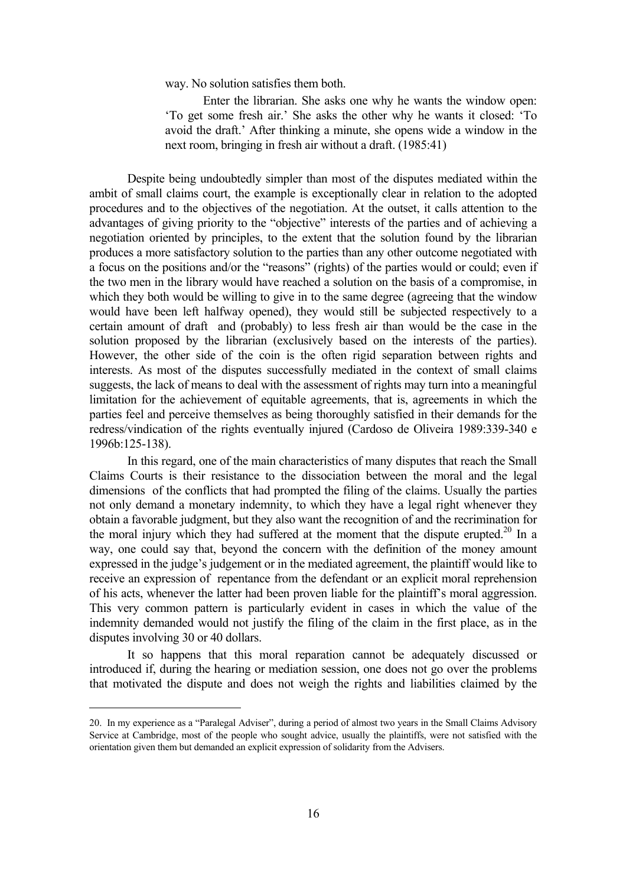way. No solution satisfies them both.

Enter the librarian. She asks one why he wants the window open: 'To get some fresh air.' She asks the other why he wants it closed: 'To avoid the draft.' After thinking a minute, she opens wide a window in the next room, bringing in fresh air without a draft. (1985:41)

Despite being undoubtedly simpler than most of the disputes mediated within the ambit of small claims court, the example is exceptionally clear in relation to the adopted procedures and to the objectives of the negotiation. At the outset, it calls attention to the advantages of giving priority to the "objective" interests of the parties and of achieving a negotiation oriented by principles, to the extent that the solution found by the librarian produces a more satisfactory solution to the parties than any other outcome negotiated with a focus on the positions and/or the "reasons" (rights) of the parties would or could; even if the two men in the library would have reached a solution on the basis of a compromise, in which they both would be willing to give in to the same degree (agreeing that the window would have been left halfway opened), they would still be subjected respectively to a certain amount of draft and (probably) to less fresh air than would be the case in the solution proposed by the librarian (exclusively based on the interests of the parties). However, the other side of the coin is the often rigid separation between rights and interests. As most of the disputes successfully mediated in the context of small claims suggests, the lack of means to deal with the assessment of rights may turn into a meaningful limitation for the achievement of equitable agreements, that is, agreements in which the parties feel and perceive themselves as being thoroughly satisfied in their demands for the redress/vindication of the rights eventually injured (Cardoso de Oliveira 1989:339-340 e 1996b:125-138).

In this regard, one of the main characteristics of many disputes that reach the Small Claims Courts is their resistance to the dissociation between the moral and the legal dimensions of the conflicts that had prompted the filing of the claims. Usually the parties not only demand a monetary indemnity, to which they have a legal right whenever they obtain a favorable judgment, but they also want the recognition of and the recrimination for the moral injury which they had suffered at the moment that the dispute erupted.<sup>20</sup> In a way, one could say that, beyond the concern with the definition of the money amount expressed in the judge's judgement or in the mediated agreement, the plaintiff would like to receive an expression of repentance from the defendant or an explicit moral reprehension of his acts, whenever the latter had been proven liable for the plaintiff's moral aggression. This very common pattern is particularly evident in cases in which the value of the indemnity demanded would not justify the filing of the claim in the first place, as in the disputes involving 30 or 40 dollars.

It so happens that this moral reparation cannot be adequately discussed or introduced if, during the hearing or mediation session, one does not go over the problems that motivated the dispute and does not weigh the rights and liabilities claimed by the

<span id="page-15-0"></span><sup>20.</sup> In my experience as a "Paralegal Adviser", during a period of almost two years in the Small Claims Advisory Service at Cambridge, most of the people who sought advice, usually the plaintiffs, were not satisfied with the orientation given them but demanded an explicit expression of solidarity from the Advisers.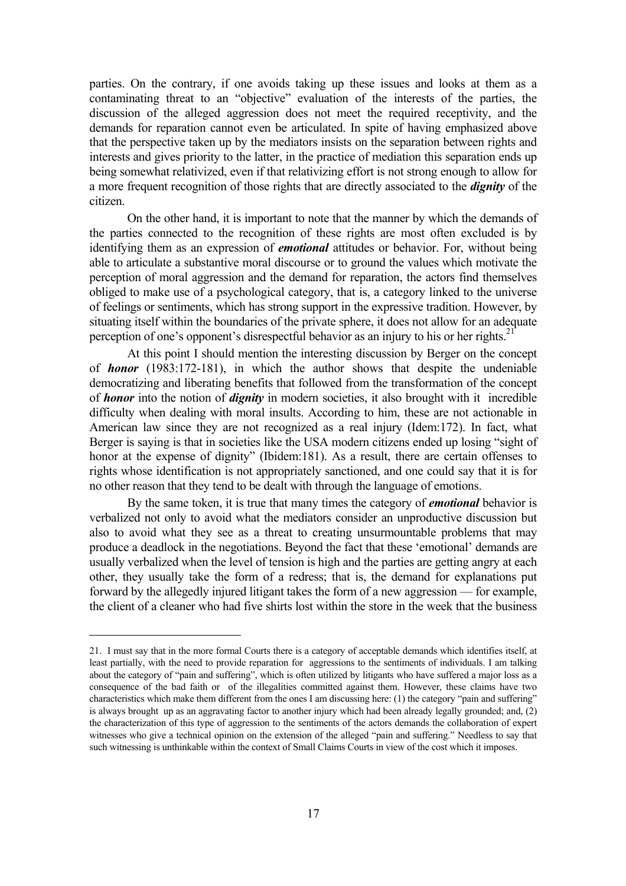parties. On the contrary, if one avoids taking up these issues and looks at them as a contaminating threat to an "objective" evaluation of the interests of the parties, the discussion of the alleged aggression does not meet the required receptivity, and the demands for reparation cannot even be articulated. In spite of having emphasized above that the perspective taken up by the mediators insists on the separation between rights and interests and gives priority to the latter, in the practice of mediation this separation ends up being somewhat relativized, even if that relativizing effort is not strong enough to allow for a more frequent recognition of those rights that are directly associated to the *dignity* of the citizen.

On the other hand, it is important to note that the manner by which the demands of the parties connected to the recognition of these rights are most often excluded is by identifying them as an expression of *emotional* attitudes or behavior. For, without being able to articulate a substantive moral discourse or to ground the values which motivate the perception of moral aggression and the demand for reparation, the actors find themselves obliged to make use of a psychological category, that is, a category linked to the universe of feelings or sentiments, which has strong support in the expressive tradition. However, by situating itself within the boundaries of the private sphere, it does not allow for an adequate perception of one's opponent's disrespectful behavior as an injury to his or her rights.<sup>21</sup>

At this point I should mention the interesting discussion by Berger on the concept of *honor* (1983:172-181), in which the author shows that despite the undeniable democratizing and liberating benefits that followed from the transformation of the concept of *honor* into the notion of *dignity* in modern societies, it also brought with it incredible difficulty when dealing with moral insults. According to him, these are not actionable in American law since they are not recognized as a real injury (Idem:172). In fact, what Berger is saying is that in societies like the USA modern citizens ended up losing "sight of honor at the expense of dignity" (Ibidem:181). As a result, there are certain offenses to rights whose identification is not appropriately sanctioned, and one could say that it is for no other reason that they tend to be dealt with through the language of emotions.

By the same token, it is true that many times the category of *emotional* behavior is verbalized not only to avoid what the mediators consider an unproductive discussion but also to avoid what they see as a threat to creating unsurmountable problems that may produce a deadlock in the negotiations. Beyond the fact that these 'emotional' demands are usually verbalized when the level of tension is high and the parties are getting angry at each other, they usually take the form of a redress; that is, the demand for explanations put forward by the allegedly injured litigant takes the form of a new aggression — for example, the client of a cleaner who had five shirts lost within the store in the week that the business

<span id="page-16-0"></span><sup>21.</sup> I must say that in the more formal Courts there is a category of acceptable demands which identifies itself, at least partially, with the need to provide reparation for aggressions to the sentiments of individuals. I am talking about the category of "pain and suffering", which is often utilized by litigants who have suffered a major loss as a consequence of the bad faith or of the illegalities committed against them. However, these claims have two characteristics which make them different from the ones I am discussing here: (1) the category "pain and suffering" is always brought up as an aggravating factor to another injury which had been already legally grounded; and, (2) the characterization of this type of aggression to the sentiments of the actors demands the collaboration of expert witnesses who give a technical opinion on the extension of the alleged "pain and suffering." Needless to say that such witnessing is unthinkable within the context of Small Claims Courts in view of the cost which it imposes.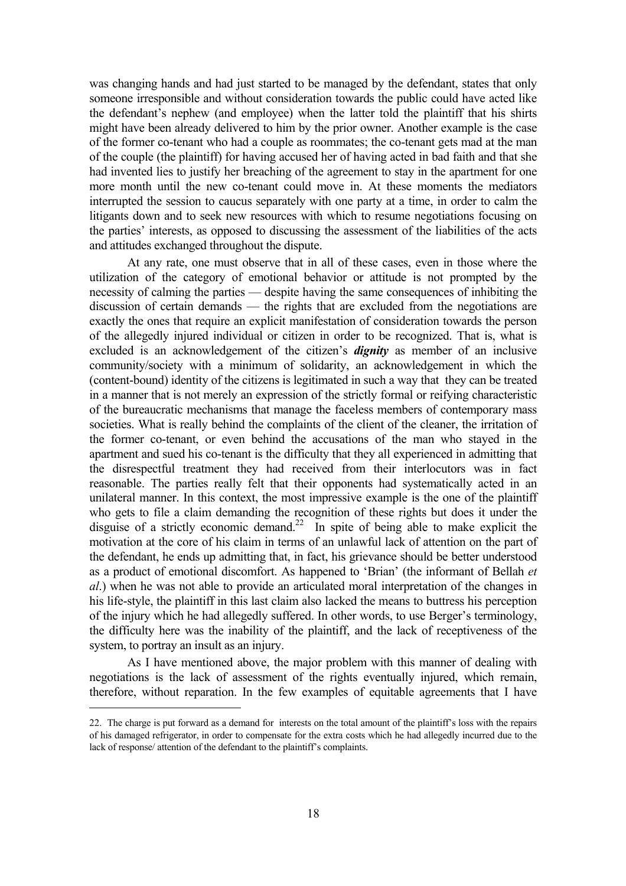was changing hands and had just started to be managed by the defendant, states that only someone irresponsible and without consideration towards the public could have acted like the defendant's nephew (and employee) when the latter told the plaintiff that his shirts might have been already delivered to him by the prior owner. Another example is the case of the former co-tenant who had a couple as roommates; the co-tenant gets mad at the man of the couple (the plaintiff) for having accused her of having acted in bad faith and that she had invented lies to justify her breaching of the agreement to stay in the apartment for one more month until the new co-tenant could move in. At these moments the mediators interrupted the session to caucus separately with one party at a time, in order to calm the litigants down and to seek new resources with which to resume negotiations focusing on the parties' interests, as opposed to discussing the assessment of the liabilities of the acts and attitudes exchanged throughout the dispute.

At any rate, one must observe that in all of these cases, even in those where the utilization of the category of emotional behavior or attitude is not prompted by the necessity of calming the parties — despite having the same consequences of inhibiting the discussion of certain demands — the rights that are excluded from the negotiations are exactly the ones that require an explicit manifestation of consideration towards the person of the allegedly injured individual or citizen in order to be recognized. That is, what is excluded is an acknowledgement of the citizen's *dignity* as member of an inclusive community/society with a minimum of solidarity, an acknowledgement in which the (content-bound) identity of the citizens is legitimated in such a way that they can be treated in a manner that is not merely an expression of the strictly formal or reifying characteristic of the bureaucratic mechanisms that manage the faceless members of contemporary mass societies. What is really behind the complaints of the client of the cleaner, the irritation of the former co-tenant, or even behind the accusations of the man who stayed in the apartment and sued his co-tenant is the difficulty that they all experienced in admitting that the disrespectful treatment they had received from their interlocutors was in fact reasonable. The parties really felt that their opponents had systematically acted in an unilateral manner. In this context, the most impressive example is the one of the plaintiff who gets to file a claim demanding the recognition of these rights but does it under the disguise of a strictly economic demand.<sup>22</sup> In spite of being able to make explicit the motivation at the core of his claim in terms of an unlawful lack of attention on the part of the defendant, he ends up admitting that, in fact, his grievance should be better understood as a product of emotional discomfort. As happened to 'Brian' (the informant of Bellah *et al*.) when he was not able to provide an articulated moral interpretation of the changes in his life-style, the plaintiff in this last claim also lacked the means to buttress his perception of the injury which he had allegedly suffered. In other words, to use Berger's terminology, the difficulty here was the inability of the plaintiff, and the lack of receptiveness of the system, to portray an insult as an injury.

As I have mentioned above, the major problem with this manner of dealing with negotiations is the lack of assessment of the rights eventually injured, which remain, therefore, without reparation. In the few examples of equitable agreements that I have

i<br>H

<span id="page-17-0"></span><sup>22.</sup> The charge is put forward as a demand for interests on the total amount of the plaintiff's loss with the repairs of his damaged refrigerator, in order to compensate for the extra costs which he had allegedly incurred due to the lack of response/ attention of the defendant to the plaintiff's complaints.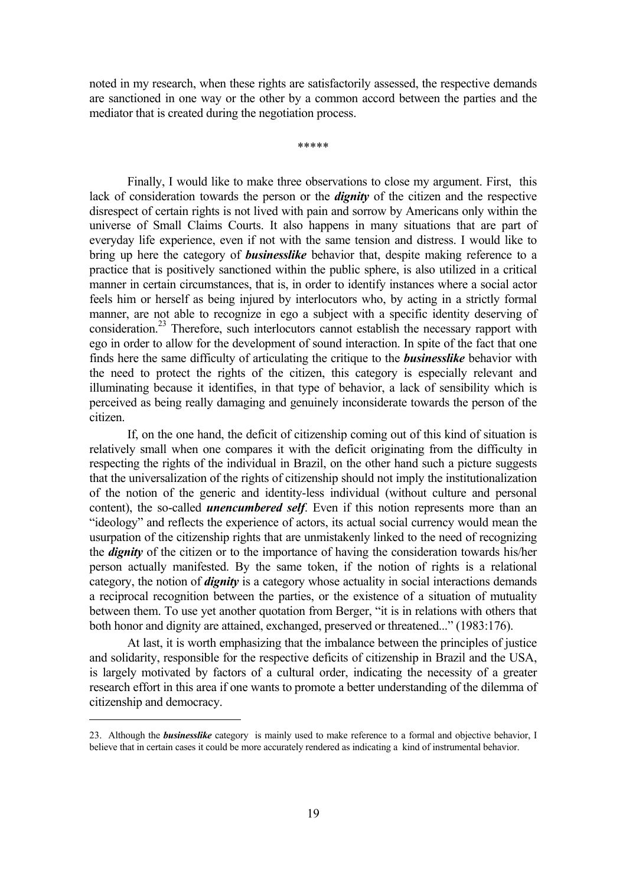noted in my research, when these rights are satisfactorily assessed, the respective demands are sanctioned in one way or the other by a common accord between the parties and the mediator that is created during the negotiation process.

\*\*\*\*\*

Finally, I would like to make three observations to close my argument. First, this lack of consideration towards the person or the *dignity* of the citizen and the respective disrespect of certain rights is not lived with pain and sorrow by Americans only within the universe of Small Claims Courts. It also happens in many situations that are part of everyday life experience, even if not with the same tension and distress. I would like to bring up here the category of *businesslike* behavior that, despite making reference to a practice that is positively sanctioned within the public sphere, is also utilized in a critical manner in certain circumstances, that is, in order to identify instances where a social actor feels him or herself as being injured by interlocutors who, by acting in a strictly formal manner, are not able to recognize in ego a subject with a specific identity deserving of consideration.<sup>23</sup> Therefore, such interlocutors cannot establish the necessary rapport with ego in order to allow for the development of sound interaction. In spite of the fact that one finds here the same difficulty of articulating the critique to the *businesslike* behavior with the need to protect the rights of the citizen, this category is especially relevant and illuminating because it identifies, in that type of behavior, a lack of sensibility which is perceived as being really damaging and genuinely inconsiderate towards the person of the citizen.

If, on the one hand, the deficit of citizenship coming out of this kind of situation is relatively small when one compares it with the deficit originating from the difficulty in respecting the rights of the individual in Brazil, on the other hand such a picture suggests that the universalization of the rights of citizenship should not imply the institutionalization of the notion of the generic and identity-less individual (without culture and personal content), the so-called *unencumbered self*. Even if this notion represents more than an "ideology" and reflects the experience of actors, its actual social currency would mean the usurpation of the citizenship rights that are unmistakenly linked to the need of recognizing the *dignity* of the citizen or to the importance of having the consideration towards his/her person actually manifested. By the same token, if the notion of rights is a relational category, the notion of *dignity* is a category whose actuality in social interactions demands a reciprocal recognition between the parties, or the existence of a situation of mutuality between them. To use yet another quotation from Berger, "it is in relations with others that both honor and dignity are attained, exchanged, preserved or threatened..." (1983:176).

At last, it is worth emphasizing that the imbalance between the principles of justice and solidarity, responsible for the respective deficits of citizenship in Brazil and the USA, is largely motivated by factors of a cultural order, indicating the necessity of a greater research effort in this area if one wants to promote a better understanding of the dilemma of citizenship and democracy.

i<br>H

<span id="page-18-0"></span><sup>23.</sup> Although the *businesslike* category is mainly used to make reference to a formal and objective behavior, I believe that in certain cases it could be more accurately rendered as indicating a kind of instrumental behavior.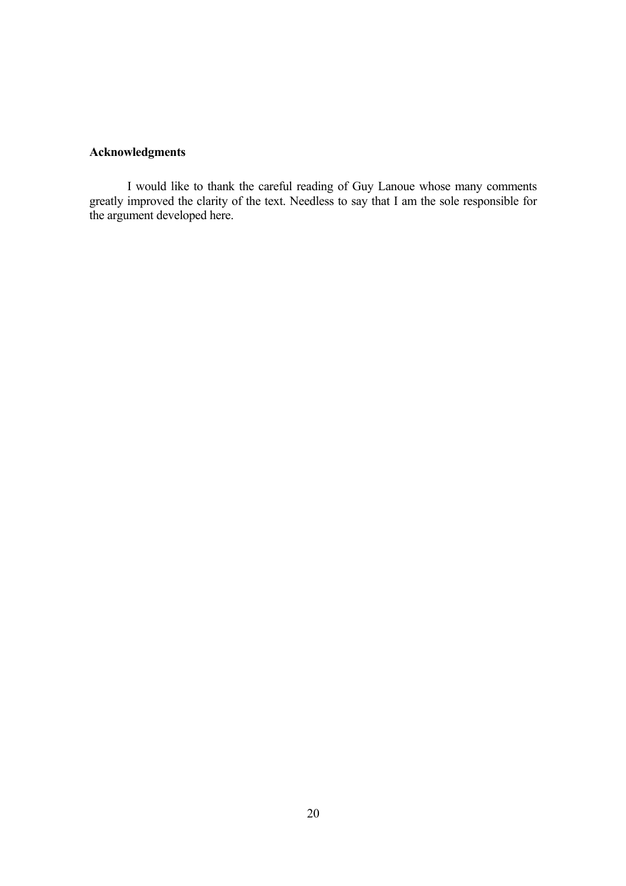# **Acknowledgments**

I would like to thank the careful reading of Guy Lanoue whose many comments greatly improved the clarity of the text. Needless to say that I am the sole responsible for the argument developed here.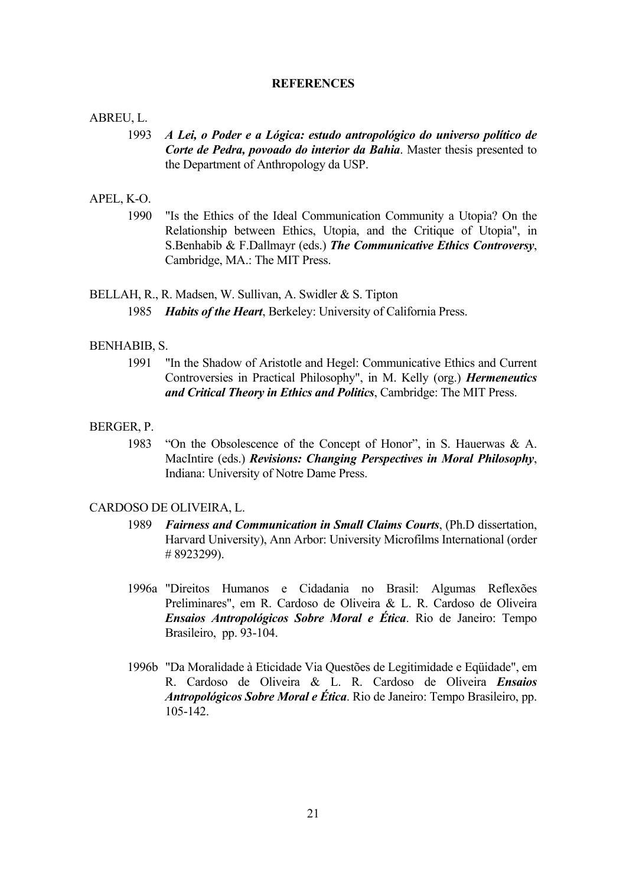#### **REFERENCES**

#### ABREU, L.

1993 *A Lei, o Poder e a Lógica: estudo antropológico do universo político de Corte de Pedra, povoado do interior da Bahia*. Master thesis presented to the Department of Anthropology da USP.

### APEL, K-O.

1990 "Is the Ethics of the Ideal Communication Community a Utopia? On the Relationship between Ethics, Utopia, and the Critique of Utopia", in S.Benhabib & F.Dallmayr (eds.) *The Communicative Ethics Controversy*, Cambridge, MA.: The MIT Press.

## BELLAH, R., R. Madsen, W. Sullivan, A. Swidler & S. Tipton 1985 *Habits of the Heart*, Berkeley: University of California Press.

#### BENHABIB, S.

1991 "In the Shadow of Aristotle and Hegel: Communicative Ethics and Current Controversies in Practical Philosophy", in M. Kelly (org.) *Hermeneutics and Critical Theory in Ethics and Politics*, Cambridge: The MIT Press.

### BERGER, P.

1983 "On the Obsolescence of the Concept of Honor", in S. Hauerwas & A. MacIntire (eds.) *Revisions: Changing Perspectives in Moral Philosophy*, Indiana: University of Notre Dame Press.

#### CARDOSO DE OLIVEIRA, L.

- 1989 *Fairness and Communication in Small Claims Courts*, (Ph.D dissertation, Harvard University), Ann Arbor: University Microfilms International (order # 8923299).
- 1996a "Direitos Humanos e Cidadania no Brasil: Algumas Reflexões Preliminares", em R. Cardoso de Oliveira & L. R. Cardoso de Oliveira *Ensaios Antropológicos Sobre Moral e Ética*. Rio de Janeiro: Tempo Brasileiro, pp. 93-104.
- 1996b "Da Moralidade à Eticidade Via Questões de Legitimidade e Eqüidade", em R. Cardoso de Oliveira & L. R. Cardoso de Oliveira *Ensaios Antropológicos Sobre Moral e Ética*. Rio de Janeiro: Tempo Brasileiro, pp. 105-142.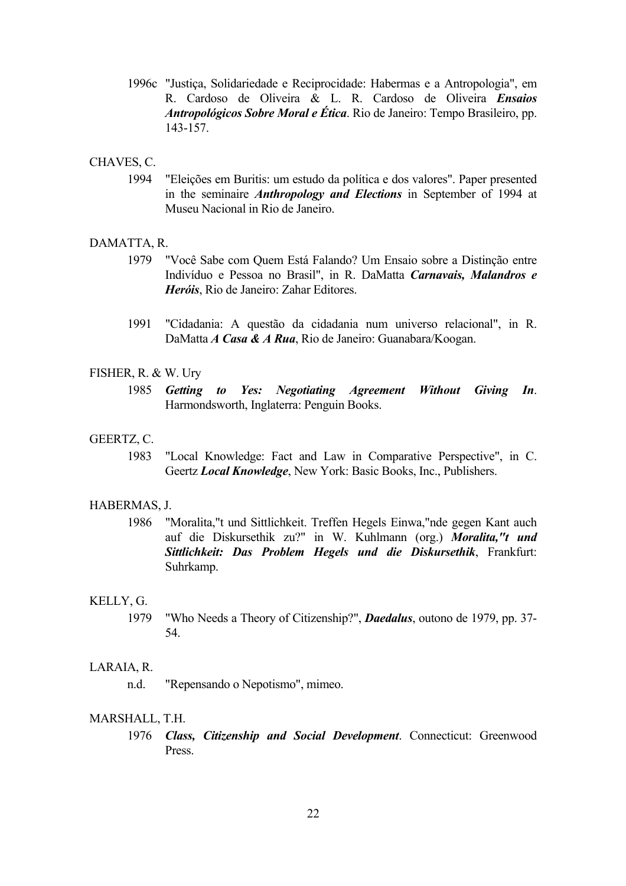1996c "Justiça, Solidariedade e Reciprocidade: Habermas e a Antropologia", em R. Cardoso de Oliveira & L. R. Cardoso de Oliveira *Ensaios Antropológicos Sobre Moral e Ética*. Rio de Janeiro: Tempo Brasileiro, pp. 143-157.

## CHAVES, C.

1994 "Eleições em Buritis: um estudo da política e dos valores". Paper presented in the seminaire *Anthropology and Elections* in September of 1994 at Museu Nacional in Rio de Janeiro.

## DAMATTA, R.

- 1979 "Você Sabe com Quem Está Falando? Um Ensaio sobre a Distinção entre Indivíduo e Pessoa no Brasil", in R. DaMatta *Carnavais, Malandros e Heróis*, Rio de Janeiro: Zahar Editores.
- 1991 "Cidadania: A questão da cidadania num universo relacional", in R. DaMatta *A Casa & A Rua*, Rio de Janeiro: Guanabara/Koogan.

## FISHER, R. & W. Ury

1985 *Getting to Yes: Negotiating Agreement Without Giving In*. Harmondsworth, Inglaterra: Penguin Books.

#### GEERTZ, C.

1983 "Local Knowledge: Fact and Law in Comparative Perspective", in C. Geertz *Local Knowledge*, New York: Basic Books, Inc., Publishers.

#### HABERMAS, J.

1986 "Moralita,"t und Sittlichkeit. Treffen Hegels Einwa,"nde gegen Kant auch auf die Diskursethik zu?" in W. Kuhlmann (org.) *Moralita,"t und Sittlichkeit: Das Problem Hegels und die Diskursethik*, Frankfurt: Suhrkamp.

#### KELLY, G.

1979 "Who Needs a Theory of Citizenship?", *Daedalus*, outono de 1979, pp. 37- 54.

## LARAIA, R.

n.d. "Repensando o Nepotismo", mimeo.

## MARSHALL, T.H.

1976 *Class, Citizenship and Social Development*. Connecticut: Greenwood Press.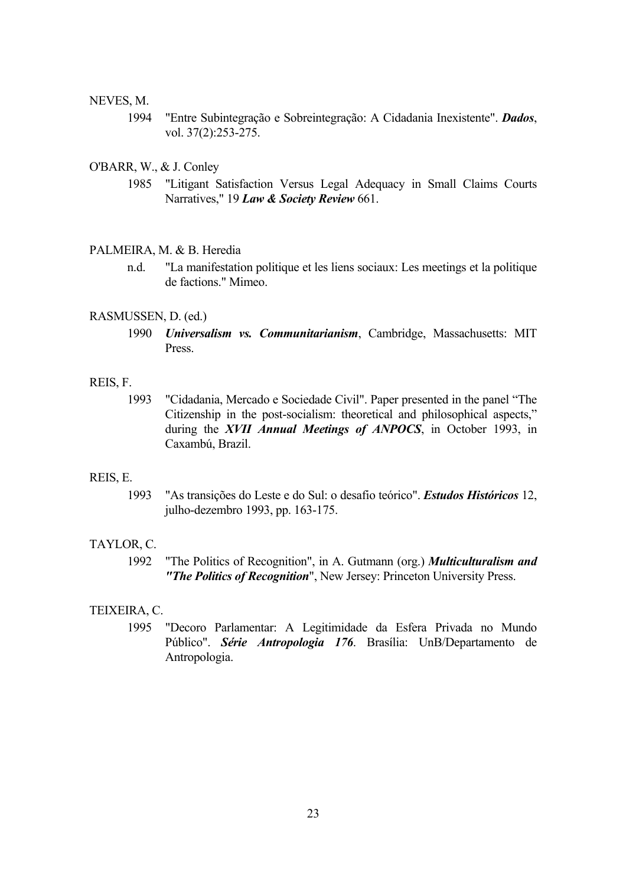#### NEVES, M.

1994 "Entre Subintegração e Sobreintegração: A Cidadania Inexistente". *Dados*, vol. 37(2):253-275.

## O'BARR, W., & J. Conley

1985 "Litigant Satisfaction Versus Legal Adequacy in Small Claims Courts Narratives," 19 *Law & Society Review* 661.

#### PALMEIRA, M. & B. Heredia

n.d. "La manifestation politique et les liens sociaux: Les meetings et la politique de factions." Mimeo.

#### RASMUSSEN, D. (ed.)

1990 *Universalism vs. Communitarianism*, Cambridge, Massachusetts: MIT Press.

#### REIS, F.

1993 "Cidadania, Mercado e Sociedade Civil". Paper presented in the panel "The Citizenship in the post-socialism: theoretical and philosophical aspects," during the *XVII Annual Meetings of ANPOCS*, in October 1993, in Caxambú, Brazil.

## REIS, E.

1993 "As transições do Leste e do Sul: o desafio teórico". *Estudos Históricos* 12, julho-dezembro 1993, pp. 163-175.

## TAYLOR, C.

1992 "The Politics of Recognition", in A. Gutmann (org.) *Multiculturalism and "The Politics of Recognition*", New Jersey: Princeton University Press.

### TEIXEIRA, C.

1995 "Decoro Parlamentar: A Legitimidade da Esfera Privada no Mundo Público". *Série Antropologia 176*. Brasília: UnB/Departamento de Antropologia.